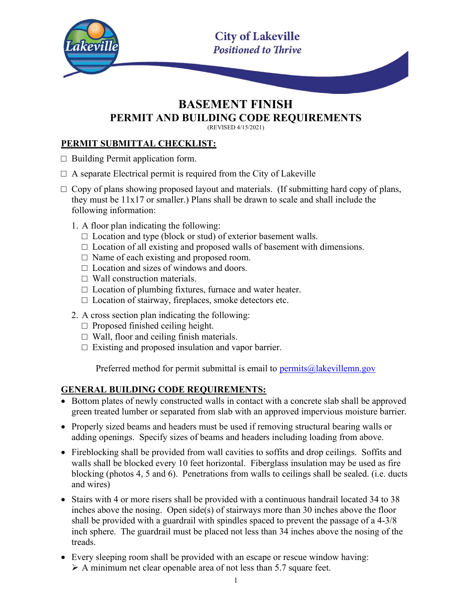

# BASEMENT FINISH PERMIT AND BUILDING CODE REQUIREMENTS

(REVISED 4/15/2021)

#### PERMIT SUBMITTAL CHECKLIST:

- $\Box$  Building Permit application form.
- $\Box$  A separate Electrical permit is required from the City of Lakeville
- $\Box$  Copy of plans showing proposed layout and materials. (If submitting hard copy of plans, they must be 11x17 or smaller.) Plans shall be drawn to scale and shall include the following information:
	- 1. A floor plan indicating the following:
		- $\square$  Location and type (block or stud) of exterior basement walls.
		- $\Box$  Location of all existing and proposed walls of basement with dimensions.
		- $\Box$  Name of each existing and proposed room.
		- $\Box$  Location and sizes of windows and doors.
		- $\Box$  Wall construction materials.
		- $\Box$  Location of plumbing fixtures, furnace and water heater.
		- $\Box$  Location of stairway, fireplaces, smoke detectors etc.
	- 2. A cross section plan indicating the following:
		- $\Box$  Proposed finished ceiling height.
		- $\Box$  Wall, floor and ceiling finish materials.
		- $\Box$  Existing and proposed insulation and vapor barrier.

Preferred method for permit submittal is email to  $\frac{permits@|lakevillenn.gov}{}$ 

#### GENERAL BUILDING CODE REQUIREMENTS:

- Bottom plates of newly constructed walls in contact with a concrete slab shall be approved green treated lumber or separated from slab with an approved impervious moisture barrier.
- Properly sized beams and headers must be used if removing structural bearing walls or adding openings. Specify sizes of beams and headers including loading from above.
- Fireblocking shall be provided from wall cavities to soffits and drop ceilings. Soffits and walls shall be blocked every 10 feet horizontal. Fiberglass insulation may be used as fire blocking (photos 4, 5 and 6). Penetrations from walls to ceilings shall be sealed. (i.e. ducts and wires)
- Stairs with 4 or more risers shall be provided with a continuous handrail located 34 to 38 inches above the nosing. Open side(s) of stairways more than 30 inches above the floor shall be provided with a guardrail with spindles spaced to prevent the passage of a 4-3/8 inch sphere. The guardrail must be placed not less than 34 inches above the nosing of the treads.
- Every sleeping room shall be provided with an escape or rescue window having:  $\triangleright$  A minimum net clear openable area of not less than 5.7 square feet.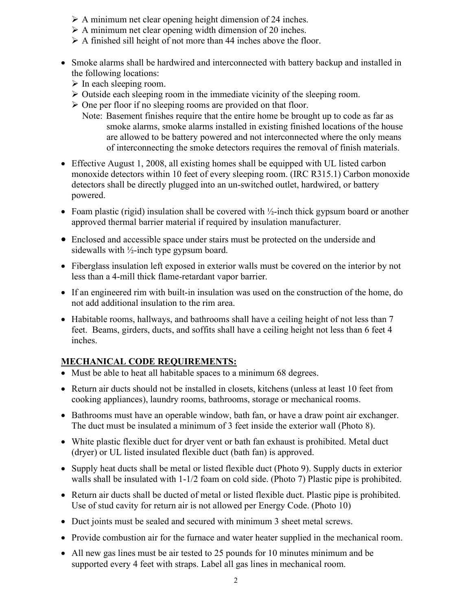- $\triangleright$  A minimum net clear opening height dimension of 24 inches.
- $\triangleright$  A minimum net clear opening width dimension of 20 inches.
- $\triangleright$  A finished sill height of not more than 44 inches above the floor.
- Smoke alarms shall be hardwired and interconnected with battery backup and installed in the following locations:
	- $\triangleright$  In each sleeping room.
	- $\triangleright$  Outside each sleeping room in the immediate vicinity of the sleeping room.
	- $\triangleright$  One per floor if no sleeping rooms are provided on that floor.
		- Note: Basement finishes require that the entire home be brought up to code as far as smoke alarms, smoke alarms installed in existing finished locations of the house are allowed to be battery powered and not interconnected where the only means of interconnecting the smoke detectors requires the removal of finish materials.
- Effective August 1, 2008, all existing homes shall be equipped with UL listed carbon monoxide detectors within 10 feet of every sleeping room. (IRC R315.1) Carbon monoxide detectors shall be directly plugged into an un-switched outlet, hardwired, or battery powered.
- Foam plastic (rigid) insulation shall be covered with  $\frac{1}{2}$ -inch thick gypsum board or another approved thermal barrier material if required by insulation manufacturer.
- Enclosed and accessible space under stairs must be protected on the underside and sidewalls with ½-inch type gypsum board.
- Fiberglass insulation left exposed in exterior walls must be covered on the interior by not less than a 4-mill thick flame-retardant vapor barrier.
- If an engineered rim with built-in insulation was used on the construction of the home, do not add additional insulation to the rim area.
- Habitable rooms, hallways, and bathrooms shall have a ceiling height of not less than 7 feet. Beams, girders, ducts, and soffits shall have a ceiling height not less than 6 feet 4 inches.

#### MECHANICAL CODE REQUIREMENTS:

- Must be able to heat all habitable spaces to a minimum 68 degrees.
- Return air ducts should not be installed in closets, kitchens (unless at least 10 feet from cooking appliances), laundry rooms, bathrooms, storage or mechanical rooms.
- Bathrooms must have an operable window, bath fan, or have a draw point air exchanger. The duct must be insulated a minimum of 3 feet inside the exterior wall (Photo 8).
- White plastic flexible duct for dryer vent or bath fan exhaust is prohibited. Metal duct (dryer) or UL listed insulated flexible duct (bath fan) is approved.
- Supply heat ducts shall be metal or listed flexible duct (Photo 9). Supply ducts in exterior walls shall be insulated with  $1-1/2$  foam on cold side. (Photo 7) Plastic pipe is prohibited.
- Return air ducts shall be ducted of metal or listed flexible duct. Plastic pipe is prohibited. Use of stud cavity for return air is not allowed per Energy Code. (Photo 10)
- Duct joints must be sealed and secured with minimum 3 sheet metal screws.
- Provide combustion air for the furnace and water heater supplied in the mechanical room.
- All new gas lines must be air tested to 25 pounds for 10 minutes minimum and be supported every 4 feet with straps. Label all gas lines in mechanical room.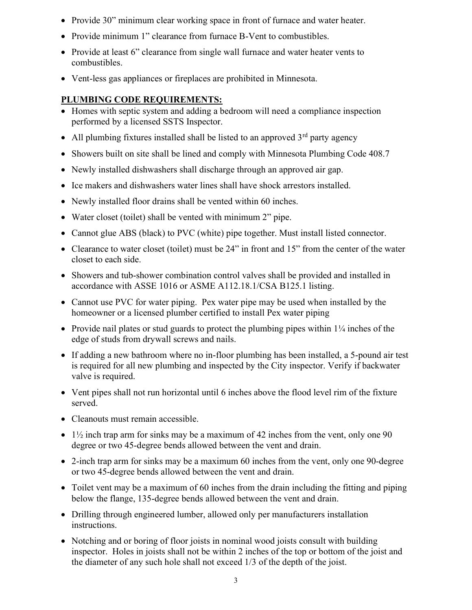- Provide 30" minimum clear working space in front of furnace and water heater.
- Provide minimum 1" clearance from furnace B-Vent to combustibles.
- Provide at least 6" clearance from single wall furnace and water heater vents to combustibles.
- Vent-less gas appliances or fireplaces are prohibited in Minnesota.

#### PLUMBING CODE REQUIREMENTS:

- Homes with septic system and adding a bedroom will need a compliance inspection performed by a licensed SSTS Inspector.
- All plumbing fixtures installed shall be listed to an approved  $3<sup>rd</sup>$  party agency
- Showers built on site shall be lined and comply with Minnesota Plumbing Code 408.7
- Newly installed dishwashers shall discharge through an approved air gap.
- Ice makers and dishwashers water lines shall have shock arrestors installed.
- Newly installed floor drains shall be vented within 60 inches.
- Water closet (toilet) shall be vented with minimum 2" pipe.
- Cannot glue ABS (black) to PVC (white) pipe together. Must install listed connector.
- Clearance to water closet (toilet) must be 24" in front and 15" from the center of the water closet to each side.
- Showers and tub-shower combination control valves shall be provided and installed in accordance with ASSE 1016 or ASME A112.18.1/CSA B125.1 listing.
- Cannot use PVC for water piping. Pex water pipe may be used when installed by the homeowner or a licensed plumber certified to install Pex water piping
- Provide nail plates or stud guards to protect the plumbing pipes within  $1\frac{1}{4}$  inches of the edge of studs from drywall screws and nails.
- If adding a new bathroom where no in-floor plumbing has been installed, a 5-pound air test is required for all new plumbing and inspected by the City inspector. Verify if backwater valve is required.
- Vent pipes shall not run horizontal until 6 inches above the flood level rim of the fixture served.
- Cleanouts must remain accessible.
- $\bullet$  1½ inch trap arm for sinks may be a maximum of 42 inches from the vent, only one 90 degree or two 45-degree bends allowed between the vent and drain.
- 2-inch trap arm for sinks may be a maximum 60 inches from the vent, only one 90-degree or two 45-degree bends allowed between the vent and drain.
- Toilet vent may be a maximum of 60 inches from the drain including the fitting and piping below the flange, 135-degree bends allowed between the vent and drain.
- Drilling through engineered lumber, allowed only per manufacturers installation instructions.
- Notching and or boring of floor joists in nominal wood joists consult with building inspector. Holes in joists shall not be within 2 inches of the top or bottom of the joist and the diameter of any such hole shall not exceed 1/3 of the depth of the joist.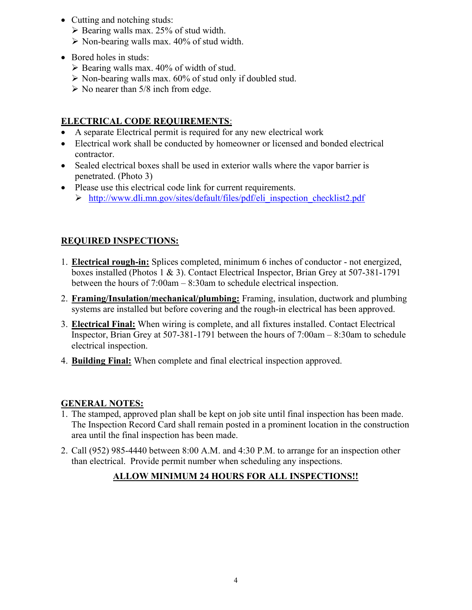- Cutting and notching studs:
	- $\triangleright$  Bearing walls max. 25% of stud width.
	- $\triangleright$  Non-bearing walls max. 40% of stud width.
- Bored holes in studs:
	- $\triangleright$  Bearing walls max. 40% of width of stud.
	- $\triangleright$  Non-bearing walls max. 60% of stud only if doubled stud.
	- $\triangleright$  No nearer than 5/8 inch from edge.

### ELECTRICAL CODE REQUIREMENTS:

- A separate Electrical permit is required for any new electrical work
- Electrical work shall be conducted by homeowner or licensed and bonded electrical contractor.
- Sealed electrical boxes shall be used in exterior walls where the vapor barrier is penetrated. (Photo 3)
- Please use this electrical code link for current requirements.
	- http://www.dli.mn.gov/sites/default/files/pdf/eli\_inspection\_checklist2.pdf

#### REQUIRED INSPECTIONS:

- 1. Electrical rough-in: Splices completed, minimum 6 inches of conductor not energized, boxes installed (Photos 1 & 3). Contact Electrical Inspector, Brian Grey at 507-381-1791 between the hours of 7:00am – 8:30am to schedule electrical inspection.
- 2. Framing/Insulation/mechanical/plumbing: Framing, insulation, ductwork and plumbing systems are installed but before covering and the rough-in electrical has been approved.
- 3. Electrical Final: When wiring is complete, and all fixtures installed. Contact Electrical Inspector, Brian Grey at 507-381-1791 between the hours of 7:00am – 8:30am to schedule electrical inspection.
- 4. Building Final: When complete and final electrical inspection approved.

#### GENERAL NOTES:

- 1. The stamped, approved plan shall be kept on job site until final inspection has been made. The Inspection Record Card shall remain posted in a prominent location in the construction area until the final inspection has been made.
- 2. Call (952) 985-4440 between 8:00 A.M. and 4:30 P.M. to arrange for an inspection other than electrical. Provide permit number when scheduling any inspections.

### ALLOW MINIMUM 24 HOURS FOR ALL INSPECTIONS!!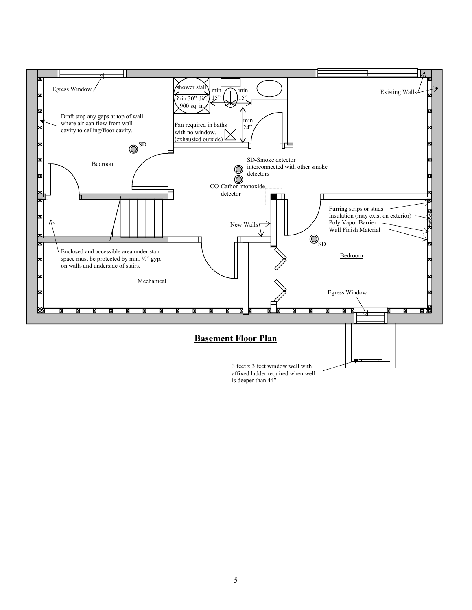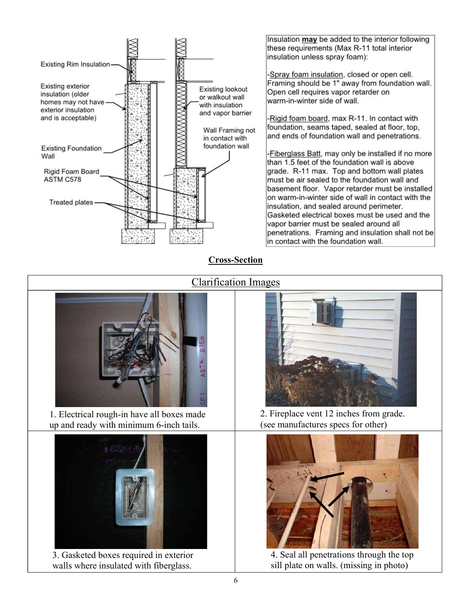

Insulation may be added to the interior following these requirements (Max R-11 total interior insulation unless spray foam):

-Spray foam insulation, closed or open cell. Framing should be 1" away from foundation wall. Open cell requires vapor retarder on warm-in-winter side of wall.

-Rigid foam board, max R-11. In contact with foundation, seams taped, sealed at floor, top, and ends of foundation wall and penetrations.

Fiberglass Batt, may only be installed if no more than 1.5 feet of the foundation wall is above grade. R-11 max. Top and bottom wall plates must be air sealed to the foundation wall and basement floor. Vapor retarder must be installed on warm-in-winter side of wall in contact with the insulation, and sealed around perimeter. Gasketed electrical boxes must be used and the vapor barrier must be sealed around all penetrations. Framing and insulation shall not be in contact with the foundation wall.

#### Cross-Section